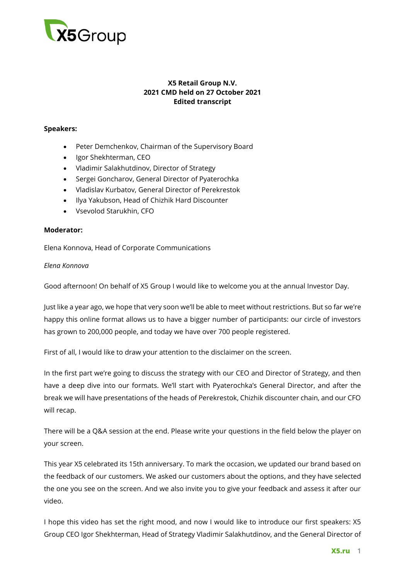

# **X5 Retail Group N.V. 2021 CMD held on 27 October 2021 Edited transcript**

### **Speakers:**

- Peter Demchenkov, Chairman of the Supervisory Board
- Igor Shekhterman, CEO
- Vladimir Salakhutdinov, Director of Strategy
- Sergei Goncharov, General Director of Pyaterochka
- Vladislav Kurbatov, General Director of Perekrestok
- Ilya Yakubson, Head of Chizhik Hard Discounter
- Vsevolod Starukhin, CFO

### **Moderator:**

Elena Konnova, Head of Corporate Communications

### *Elena Konnova*

Good afternoon! On behalf of X5 Group I would like to welcome you at the annual Investor Day.

Just like a year ago, we hope that very soon we'll be able to meet without restrictions. But so far we're happy this online format allows us to have a bigger number of participants: our circle of investors has grown to 200,000 people, and today we have over 700 people registered.

First of all, I would like to draw your attention to the disclaimer on the screen.

In the first part we're going to discuss the strategy with our CEO and Director of Strategy, and then have a deep dive into our formats. We'll start with Pyaterochka's General Director, and after the break we will have presentations of the heads of Perekrestok, Chizhik discounter chain, and our CFO will recap.

There will be a Q&A session at the end. Please write your questions in the field below the player on your screen.

This year X5 celebrated its 15th anniversary. To mark the occasion, we updated our brand based on the feedback of our customers. We asked our customers about the options, and they have selected the one you see on the screen. And we also invite you to give your feedback and assess it after our video.

I hope this video has set the right mood, and now I would like to introduce our first speakers: X5 Group CEO Igor Shekhterman, Head of Strategy Vladimir Salakhutdinov, and the General Director of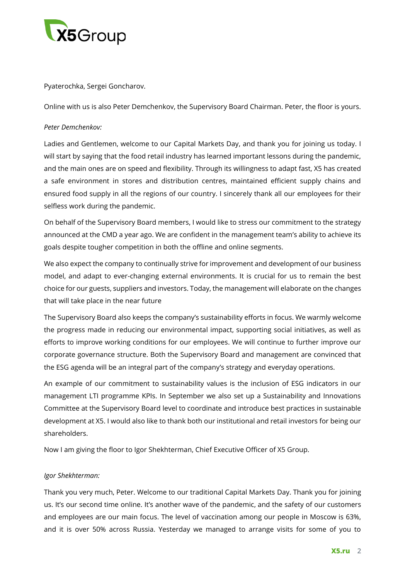

Pyaterochka, Sergei Goncharov.

Online with us is also Peter Demchenkov, the Supervisory Board Chairman. Peter, the floor is yours.

### *Peter Demchenkov:*

Ladies and Gentlemen, welcome to our Capital Markets Day, and thank you for joining us today. I will start by saying that the food retail industry has learned important lessons during the pandemic, and the main ones are on speed and flexibility. Through its willingness to adapt fast, X5 has created a safe environment in stores and distribution centres, maintained efficient supply chains and ensured food supply in all the regions of our country. I sincerely thank all our employees for their selfless work during the pandemic.

On behalf of the Supervisory Board members, I would like to stress our commitment to the strategy announced at the CMD a year ago. We are confident in the management team's ability to achieve its goals despite tougher competition in both the offline and online segments.

We also expect the company to continually strive for improvement and development of our business model, and adapt to ever-changing external environments. It is crucial for us to remain the best choice for our guests, suppliers and investors. Today, the management will elaborate on the changes that will take place in the near future

The Supervisory Board also keeps the company's sustainability efforts in focus. We warmly welcome the progress made in reducing our environmental impact, supporting social initiatives, as well as efforts to improve working conditions for our employees. We will continue to further improve our corporate governance structure. Both the Supervisory Board and management are convinced that the ESG agenda will be an integral part of the company's strategy and everyday operations.

An example of our commitment to sustainability values is the inclusion of ESG indicators in our management LTI programme KPIs. In September we also set up a Sustainability and Innovations Committee at the Supervisory Board level to coordinate and introduce best practices in sustainable development at X5. I would also like to thank both our institutional and retail investors for being our shareholders.

Now I am giving the floor to Igor Shekhterman, Chief Executive Officer of X5 Group.

#### *Igor Shekhterman:*

Thank you very much, Peter. Welcome to our traditional Capital Markets Day. Thank you for joining us. It's our second time online. It's another wave of the pandemic, and the safety of our customers and employees are our main focus. The level of vaccination among our people in Moscow is 63%, and it is over 50% across Russia. Yesterday we managed to arrange visits for some of you to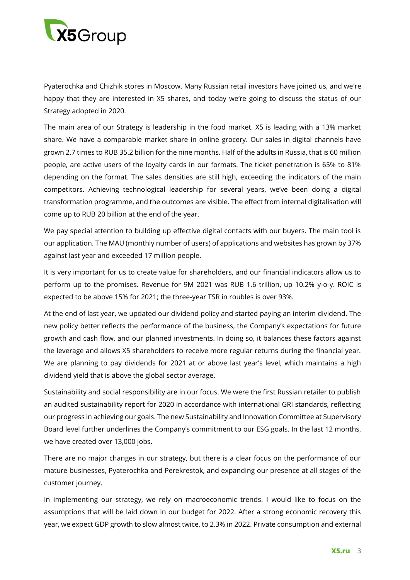

Pyaterochka and Chizhik stores in Moscow. Many Russian retail investors have joined us, and we're happy that they are interested in X5 shares, and today we're going to discuss the status of our Strategy adopted in 2020.

The main area of our Strategy is leadership in the food market. X5 is leading with a 13% market share. We have a comparable market share in online grocery. Our sales in digital channels have grown 2.7 times to RUB 35.2 billion for the nine months. Half of the adults in Russia, that is 60 million people, are active users of the loyalty cards in our formats. The ticket penetration is 65% to 81% depending on the format. The sales densities are still high, exceeding the indicators of the main competitors. Achieving technological leadership for several years, we've been doing a digital transformation programme, and the outcomes are visible. The effect from internal digitalisation will come up to RUB 20 billion at the end of the year.

We pay special attention to building up effective digital contacts with our buyers. The main tool is our application. The MAU (monthly number of users) of applications and websites has grown by 37% against last year and exceeded 17 million people.

It is very important for us to create value for shareholders, and our financial indicators allow us to perform up to the promises. Revenue for 9M 2021 was RUB 1.6 trillion, up 10.2% y-o-y. ROIC is expected to be above 15% for 2021; the three-year TSR in roubles is over 93%.

At the end of last year, we updated our dividend policy and started paying an interim dividend. The new policy better reflects the performance of the business, the Company's expectations for future growth and cash flow, and our planned investments. In doing so, it balances these factors against the leverage and allows X5 shareholders to receive more regular returns during the financial year. We are planning to pay dividends for 2021 at or above last year's level, which maintains a high dividend yield that is above the global sector average.

Sustainability and social responsibility are in our focus. We were the first Russian retailer to publish an audited sustainability report for 2020 in accordance with international GRI standards, reflecting our progress in achieving our goals. The new Sustainability and Innovation Committee at Supervisory Board level further underlines the Company's commitment to our ESG goals. In the last 12 months, we have created over 13,000 jobs.

There are no major changes in our strategy, but there is a clear focus on the performance of our mature businesses, Pyaterochka and Perekrestok, and expanding our presence at all stages of the customer journey.

In implementing our strategy, we rely on macroeconomic trends. I would like to focus on the assumptions that will be laid down in our budget for 2022. After a strong economic recovery this year, we expect GDP growth to slow almost twice, to 2.3% in 2022. Private consumption and external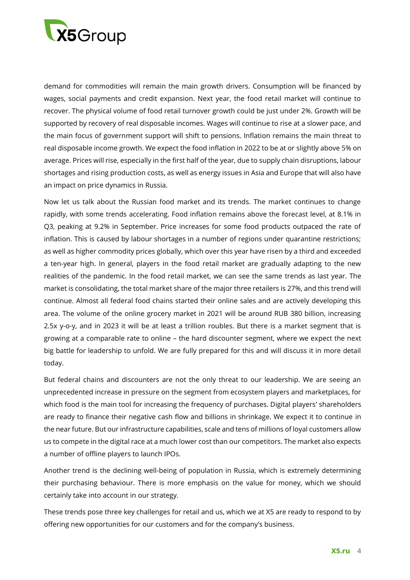

demand for commodities will remain the main growth drivers. Consumption will be financed by wages, social payments and credit expansion. Next year, the food retail market will continue to recover. The physical volume of food retail turnover growth could be just under 2%. Growth will be supported by recovery of real disposable incomes. Wages will continue to rise at a slower pace, and the main focus of government support will shift to pensions. Inflation remains the main threat to real disposable income growth. We expect the food inflation in 2022 to be at or slightly above 5% on average. Prices will rise, especially in the first half of the year, due to supply chain disruptions, labour shortages and rising production costs, as well as energy issues in Asia and Europe that will also have an impact on price dynamics in Russia.

Now let us talk about the Russian food market and its trends. The market continues to change rapidly, with some trends accelerating. Food inflation remains above the forecast level, at 8.1% in Q3, peaking at 9.2% in September. Price increases for some food products outpaced the rate of inflation. This is caused by labour shortages in a number of regions under quarantine restrictions; as well as higher commodity prices globally, which over this year have risen by a third and exceeded a ten-year high. In general, players in the food retail market are gradually adapting to the new realities of the pandemic. In the food retail market, we can see the same trends as last year. The market is consolidating, the total market share of the major three retailers is 27%, and this trend will continue. Almost all federal food chains started their online sales and are actively developing this area. The volume of the online grocery market in 2021 will be around RUB 380 billion, increasing 2.5x y-o-y, and in 2023 it will be at least a trillion roubles. But there is a market segment that is growing at a comparable rate to online – the hard discounter segment, where we expect the next big battle for leadership to unfold. We are fully prepared for this and will discuss it in more detail today.

But federal chains and discounters are not the only threat to our leadership. We are seeing an unprecedented increase in pressure on the segment from ecosystem players and marketplaces, for which food is the main tool for increasing the frequency of purchases. Digital players' shareholders are ready to finance their negative cash flow and billions in shrinkage. We expect it to continue in the near future. But our infrastructure capabilities, scale and tens of millions of loyal customers allow us to compete in the digital race at a much lower cost than our competitors. The market also expects a number of offline players to launch IPOs.

Another trend is the declining well-being of population in Russia, which is extremely determining their purchasing behaviour. There is more emphasis on the value for money, which we should certainly take into account in our strategy.

These trends pose three key challenges for retail and us, which we at X5 are ready to respond to by offering new opportunities for our customers and for the company's business.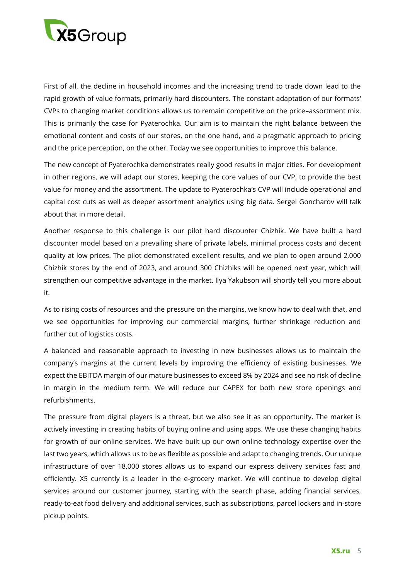

First of all, the decline in household incomes and the increasing trend to trade down lead to the rapid growth of value formats, primarily hard discounters. The constant adaptation of our formats' CVPs to changing market conditions allows us to remain competitive on the price–assortment mix. This is primarily the case for Pyaterochka. Our aim is to maintain the right balance between the emotional content and costs of our stores, on the one hand, and a pragmatic approach to pricing and the price perception, on the other. Today we see opportunities to improve this balance.

The new concept of Pyaterochka demonstrates really good results in major cities. For development in other regions, we will adapt our stores, keeping the core values of our CVP, to provide the best value for money and the assortment. The update to Pyaterochka's CVP will include operational and capital cost cuts as well as deeper assortment analytics using big data. Sergei Goncharov will talk about that in more detail.

Another response to this challenge is our pilot hard discounter Chizhik. We have built a hard discounter model based on a prevailing share of private labels, minimal process costs and decent quality at low prices. The pilot demonstrated excellent results, and we plan to open around 2,000 Chizhik stores by the end of 2023, and around 300 Chizhiks will be opened next year, which will strengthen our competitive advantage in the market. Ilya Yakubson will shortly tell you more about it.

As to rising costs of resources and the pressure on the margins, we know how to deal with that, and we see opportunities for improving our commercial margins, further shrinkage reduction and further cut of logistics costs.

A balanced and reasonable approach to investing in new businesses allows us to maintain the company's margins at the current levels by improving the efficiency of existing businesses. We expect the EBITDA margin of our mature businesses to exceed 8% by 2024 and see no risk of decline in margin in the medium term. We will reduce our CAPEX for both new store openings and refurbishments.

The pressure from digital players is a threat, but we also see it as an opportunity. The market is actively investing in creating habits of buying online and using apps. We use these changing habits for growth of our online services. We have built up our own online technology expertise over the last two years, which allows us to be as flexible as possible and adapt to changing trends. Our unique infrastructure of over 18,000 stores allows us to expand our express delivery services fast and efficiently. X5 currently is a leader in the e-grocery market. We will continue to develop digital services around our customer journey, starting with the search phase, adding financial services, ready-to-eat food delivery and additional services, such as subscriptions, parcel lockers and in-store pickup points.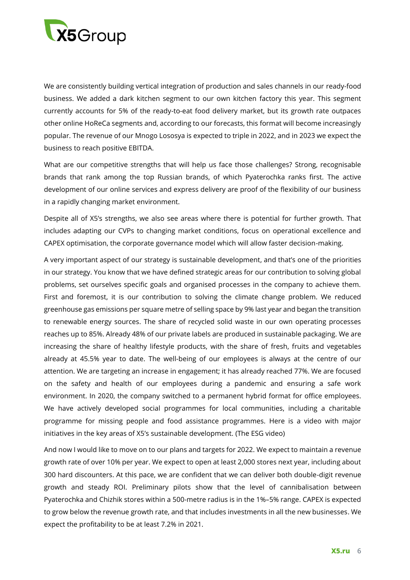

We are consistently building vertical integration of production and sales channels in our ready-food business. We added a dark kitchen segment to our own kitchen factory this year. This segment currently accounts for 5% of the ready-to-eat food delivery market, but its growth rate outpaces other online HoReCa segments and, according to our forecasts, this format will become increasingly popular. The revenue of our Mnogo Lososya is expected to triple in 2022, and in 2023 we expect the business to reach positive EBITDA.

What are our competitive strengths that will help us face those challenges? Strong, recognisable brands that rank among the top Russian brands, of which Pyaterochka ranks first. The active development of our online services and express delivery are proof of the flexibility of our business in a rapidly changing market environment.

Despite all of X5's strengths, we also see areas where there is potential for further growth. That includes adapting our CVPs to changing market conditions, focus on operational excellence and CAPEX optimisation, the corporate governance model which will allow faster decision-making.

A very important aspect of our strategy is sustainable development, and that's one of the priorities in our strategy. You know that we have defined strategic areas for our contribution to solving global problems, set ourselves specific goals and organised processes in the company to achieve them. First and foremost, it is our contribution to solving the climate change problem. We reduced greenhouse gas emissions per square metre of selling space by 9% last year and began the transition to renewable energy sources. The share of recycled solid waste in our own operating processes reaches up to 85%. Already 48% of our private labels are produced in sustainable packaging. We are increasing the share of healthy lifestyle products, with the share of fresh, fruits and vegetables already at 45.5% year to date. The well-being of our employees is always at the centre of our attention. We are targeting an increase in engagement; it has already reached 77%. We are focused on the safety and health of our employees during a pandemic and ensuring a safe work environment. In 2020, the company switched to a permanent hybrid format for office employees. We have actively developed social programmes for local communities, including a charitable programme for missing people and food assistance programmes. Here is a video with major initiatives in the key areas of X5's sustainable development. (The ESG video)

And now I would like to move on to our plans and targets for 2022. We expect to maintain a revenue growth rate of over 10% per year. We expect to open at least 2,000 stores next year, including about 300 hard discounters. At this pace, we are confident that we can deliver both double-digit revenue growth and steady ROI. Preliminary pilots show that the level of cannibalisation between Pyaterochka and Chizhik stores within a 500-metre radius is in the 1%–5% range. CAPEX is expected to grow below the revenue growth rate, and that includes investments in all the new businesses. We expect the profitability to be at least 7.2% in 2021.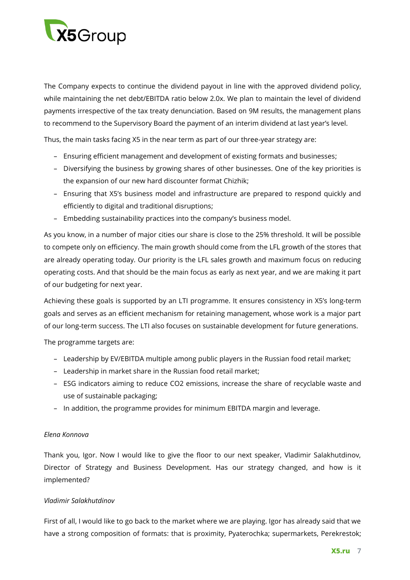

The Company expects to continue the dividend payout in line with the approved dividend policy, while maintaining the net debt/EBITDA ratio below 2.0x. We plan to maintain the level of dividend payments irrespective of the tax treaty denunciation. Based on 9M results, the management plans to recommend to the Supervisory Board the payment of an interim dividend at last year's level.

Thus, the main tasks facing X5 in the near term as part of our three-year strategy are:

- Ensuring efficient management and development of existing formats and businesses;
- Diversifying the business by growing shares of other businesses. One of the key priorities is the expansion of our new hard discounter format Chizhik;
- Ensuring that X5's business model and infrastructure are prepared to respond quickly and efficiently to digital and traditional disruptions;
- Embedding sustainability practices into the company's business model.

As you know, in a number of major cities our share is close to the 25% threshold. It will be possible to compete only on efficiency. The main growth should come from the LFL growth of the stores that are already operating today. Our priority is the LFL sales growth and maximum focus on reducing operating costs. And that should be the main focus as early as next year, and we are making it part of our budgeting for next year.

Achieving these goals is supported by an LTI programme. It ensures consistency in X5's long-term goals and serves as an efficient mechanism for retaining management, whose work is a major part of our long-term success. The LTI also focuses on sustainable development for future generations.

The programme targets are:

- Leadership by EV/EBITDA multiple among public players in the Russian food retail market;
- Leadership in market share in the Russian food retail market;
- ESG indicators aiming to reduce CO2 emissions, increase the share of recyclable waste and use of sustainable packaging;
- In addition, the programme provides for minimum EBITDA margin and leverage.

# *Elena Konnova*

Thank you, Igor. Now I would like to give the floor to our next speaker, Vladimir Salakhutdinov, Director of Strategy and Business Development. Has our strategy changed, and how is it implemented?

# *Vladimir Salakhutdinov*

First of all, I would like to go back to the market where we are playing. Igor has already said that we have a strong composition of formats: that is proximity, Pyaterochka; supermarkets, Perekrestok;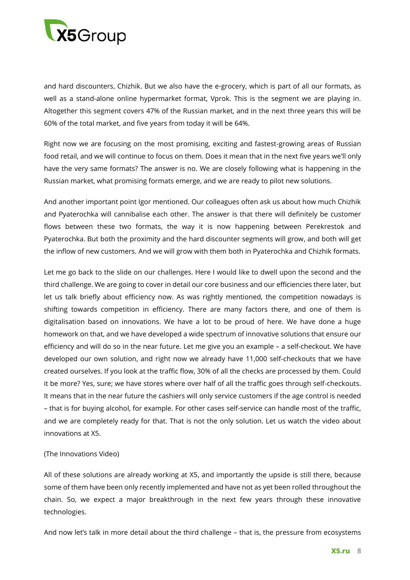

and hard discounters, Chizhik. But we also have the e-grocery, which is part of all our formats, as well as a stand-alone online hypermarket format, Vprok. This is the segment we are playing in. Altogether this segment covers 47% of the Russian market, and in the next three years this will be 60% of the total market, and five years from today it will be 64%.

Right now we are focusing on the most promising, exciting and fastest-growing areas of Russian food retail, and we will continue to focus on them. Does it mean that in the next five years we'll only have the very same formats? The answer is no. We are closely following what is happening in the Russian market, what promising formats emerge, and we are ready to pilot new solutions.

And another important point Igor mentioned. Our colleagues often ask us about how much Chizhik and Pyaterochka will cannibalise each other. The answer is that there will definitely be customer flows between these two formats, the way it is now happening between Perekrestok and Pyaterochka. But both the proximity and the hard discounter segments will grow, and both will get the inflow of new customers. And we will grow with them both in Pyaterochka and Chizhik formats.

Let me go back to the slide on our challenges. Here I would like to dwell upon the second and the third challenge. We are going to cover in detail our core business and our efficiencies there later, but let us talk briefly about efficiency now. As was rightly mentioned, the competition nowadays is shifting towards competition in efficiency. There are many factors there, and one of them is digitalisation based on innovations. We have a lot to be proud of here. We have done a huge homework on that, and we have developed a wide spectrum of innovative solutions that ensure our efficiency and will do so in the near future. Let me give you an example – a self-checkout. We have developed our own solution, and right now we already have 11,000 self-checkouts that we have created ourselves. If you look at the traffic flow, 30% of all the checks are processed by them. Could it be more? Yes, sure; we have stores where over half of all the traffic goes through self-checkouts. It means that in the near future the cashiers will only service customers if the age control is needed – that is for buying alcohol, for example. For other cases self-service can handle most of the traffic, and we are completely ready for that. That is not the only solution. Let us watch the video about innovations at X5.

#### (The Innovations Video)

All of these solutions are already working at X5, and importantly the upside is still there, because some of them have been only recently implemented and have not as yet been rolled throughout the chain. So, we expect a major breakthrough in the next few years through these innovative technologies.

And now let's talk in more detail about the third challenge – that is, the pressure from ecosystems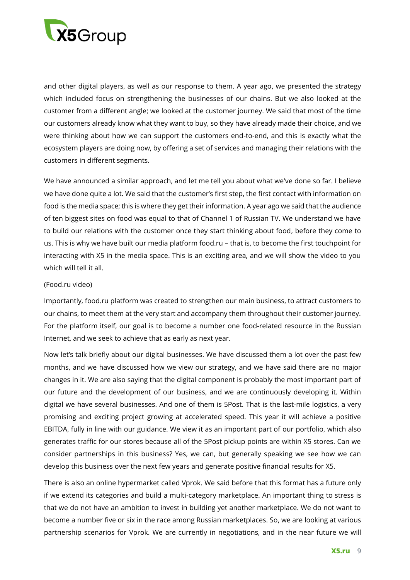

and other digital players, as well as our response to them. A year ago, we presented the strategy which included focus on strengthening the businesses of our chains. But we also looked at the customer from a different angle; we looked at the customer journey. We said that most of the time our customers already know what they want to buy, so they have already made their choice, and we were thinking about how we can support the customers end-to-end, and this is exactly what the ecosystem players are doing now, by offering a set of services and managing their relations with the customers in different segments.

We have announced a similar approach, and let me tell you about what we've done so far. I believe we have done quite a lot. We said that the customer's first step, the first contact with information on food is the media space; this is where they get their information. A year ago we said that the audience of ten biggest sites on food was equal to that of Channel 1 of Russian TV. We understand we have to build our relations with the customer once they start thinking about food, before they come to us. This is why we have built our media platform food.ru – that is, to become the first touchpoint for interacting with X5 in the media space. This is an exciting area, and we will show the video to you which will tell it all.

#### (Food.ru video)

Importantly, food.ru platform was created to strengthen our main business, to attract customers to our chains, to meet them at the very start and accompany them throughout their customer journey. For the platform itself, our goal is to become a number one food-related resource in the Russian Internet, and we seek to achieve that as early as next year.

Now let's talk briefly about our digital businesses. We have discussed them a lot over the past few months, and we have discussed how we view our strategy, and we have said there are no major changes in it. We are also saying that the digital component is probably the most important part of our future and the development of our business, and we are continuously developing it. Within digital we have several businesses. And one of them is 5Post. That is the last-mile logistics, a very promising and exciting project growing at accelerated speed. This year it will achieve a positive EBITDA, fully in line with our guidance. We view it as an important part of our portfolio, which also generates traffic for our stores because all of the 5Post pickup points are within X5 stores. Can we consider partnerships in this business? Yes, we can, but generally speaking we see how we can develop this business over the next few years and generate positive financial results for X5.

There is also an online hypermarket called Vprok. We said before that this format has a future only if we extend its categories and build a multi-category marketplace. An important thing to stress is that we do not have an ambition to invest in building yet another marketplace. We do not want to become a number five or six in the race among Russian marketplaces. So, we are looking at various partnership scenarios for Vprok. We are currently in negotiations, and in the near future we will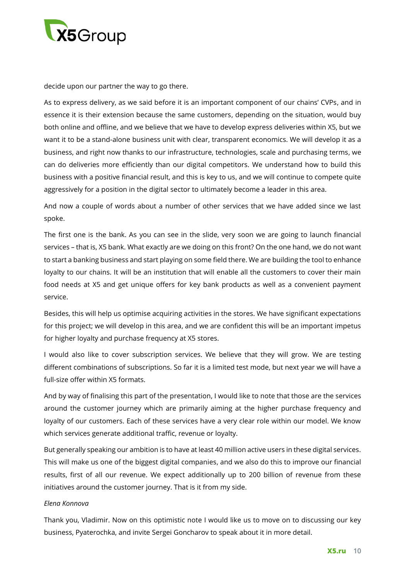

decide upon our partner the way to go there.

As to express delivery, as we said before it is an important component of our chains' CVPs, and in essence it is their extension because the same customers, depending on the situation, would buy both online and offline, and we believe that we have to develop express deliveries within X5, but we want it to be a stand-alone business unit with clear, transparent economics. We will develop it as a business, and right now thanks to our infrastructure, technologies, scale and purchasing terms, we can do deliveries more efficiently than our digital competitors. We understand how to build this business with a positive financial result, and this is key to us, and we will continue to compete quite aggressively for a position in the digital sector to ultimately become a leader in this area.

And now a couple of words about a number of other services that we have added since we last spoke.

The first one is the bank. As you can see in the slide, very soon we are going to launch financial services – that is, X5 bank. What exactly are we doing on this front? On the one hand, we do not want to start a banking business and start playing on some field there. We are building the tool to enhance loyalty to our chains. It will be an institution that will enable all the customers to cover their main food needs at X5 and get unique offers for key bank products as well as a convenient payment service.

Besides, this will help us optimise acquiring activities in the stores. We have significant expectations for this project; we will develop in this area, and we are confident this will be an important impetus for higher loyalty and purchase frequency at X5 stores.

I would also like to cover subscription services. We believe that they will grow. We are testing different combinations of subscriptions. So far it is a limited test mode, but next year we will have a full-size offer within X5 formats.

And by way of finalising this part of the presentation, I would like to note that those are the services around the customer journey which are primarily aiming at the higher purchase frequency and loyalty of our customers. Each of these services have a very clear role within our model. We know which services generate additional traffic, revenue or loyalty.

But generally speaking our ambition is to have at least 40 million active users in these digital services. This will make us one of the biggest digital companies, and we also do this to improve our financial results, first of all our revenue. We expect additionally up to 200 billion of revenue from these initiatives around the customer journey. That is it from my side.

# *Elena Konnova*

Thank you, Vladimir. Now on this optimistic note I would like us to move on to discussing our key business, Pyaterochka, and invite Sergei Goncharov to speak about it in more detail.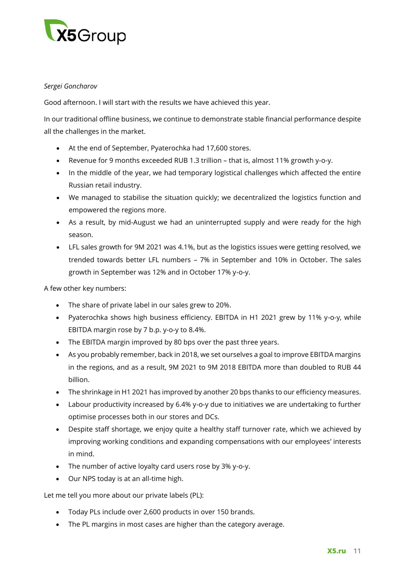

# *Sergei Goncharov*

Good afternoon. I will start with the results we have achieved this year.

In our traditional offline business, we continue to demonstrate stable financial performance despite all the challenges in the market.

- At the end of September, Pyaterochka had 17,600 stores.
- Revenue for 9 months exceeded RUB 1.3 trillion that is, almost 11% growth y-o-y.
- In the middle of the year, we had temporary logistical challenges which affected the entire Russian retail industry.
- We managed to stabilise the situation quickly; we decentralized the logistics function and empowered the regions more.
- As a result, by mid-August we had an uninterrupted supply and were ready for the high season.
- LFL sales growth for 9M 2021 was 4.1%, but as the logistics issues were getting resolved, we trended towards better LFL numbers – 7% in September and 10% in October. The sales growth in September was 12% and in October 17% y-o-y.

A few other key numbers:

- The share of private label in our sales grew to 20%.
- Pyaterochka shows high business efficiency. EBITDA in H1 2021 grew by 11% y-o-y, while EBITDA margin rose by 7 b.p. y-o-y to 8.4%.
- The EBITDA margin improved by 80 bps over the past three years.
- As you probably remember, back in 2018, we set ourselves a goal to improve EBITDA margins in the regions, and as a result, 9M 2021 to 9M 2018 EBITDA more than doubled to RUB 44 billion.
- The shrinkage in H1 2021 has improved by another 20 bps thanks to our efficiency measures.
- Labour productivity increased by 6.4% y-o-y due to initiatives we are undertaking to further optimise processes both in our stores and DCs.
- Despite staff shortage, we enjoy quite a healthy staff turnover rate, which we achieved by improving working conditions and expanding compensations with our employees' interests in mind.
- The number of active loyalty card users rose by 3% y-o-y.
- Our NPS today is at an all-time high.

Let me tell you more about our private labels (PL):

- Today PLs include over 2,600 products in over 150 brands.
- The PL margins in most cases are higher than the category average.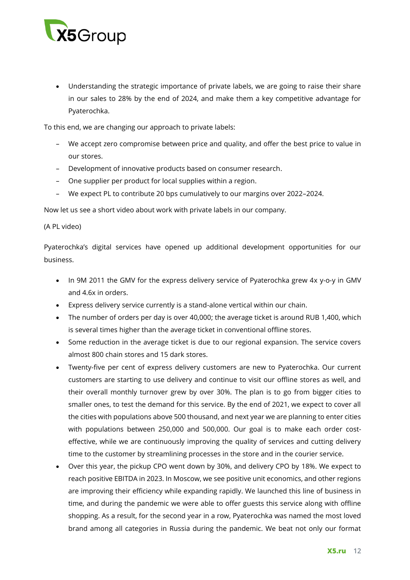

• Understanding the strategic importance of private labels, we are going to raise their share in our sales to 28% by the end of 2024, and make them a key competitive advantage for Pyaterochka.

To this end, we are changing our approach to private labels:

- We accept zero compromise between price and quality, and offer the best price to value in our stores.
- Development of innovative products based on consumer research.
- One supplier per product for local supplies within a region.
- We expect PL to contribute 20 bps cumulatively to our margins over 2022–2024.

Now let us see a short video about work with private labels in our company.

#### (A PL video)

Pyaterochka's digital services have opened up additional development opportunities for our business.

- In 9M 2011 the GMV for the express delivery service of Pyaterochka grew 4x y-o-y in GMV and 4.6x in orders.
- Express delivery service currently is a stand-alone vertical within our chain.
- The number of orders per day is over 40,000; the average ticket is around RUB 1,400, which is several times higher than the average ticket in conventional offline stores.
- Some reduction in the average ticket is due to our regional expansion. The service covers almost 800 chain stores and 15 dark stores.
- Twenty-five per cent of express delivery customers are new to Pyaterochka. Our current customers are starting to use delivery and continue to visit our offline stores as well, and their overall monthly turnover grew by over 30%. The plan is to go from bigger cities to smaller ones, to test the demand for this service. By the end of 2021, we expect to cover all the cities with populations above 500 thousand, and next year we are planning to enter cities with populations between 250,000 and 500,000. Our goal is to make each order costeffective, while we are continuously improving the quality of services and cutting delivery time to the customer by streamlining processes in the store and in the courier service.
- Over this year, the pickup CPO went down by 30%, and delivery CPO by 18%. We expect to reach positive EBITDA in 2023. In Moscow, we see positive unit economics, and other regions are improving their efficiency while expanding rapidly. We launched this line of business in time, and during the pandemic we were able to offer guests this service along with offline shopping. As a result, for the second year in a row, Pyaterochka was named the most loved brand among all categories in Russia during the pandemic. We beat not only our format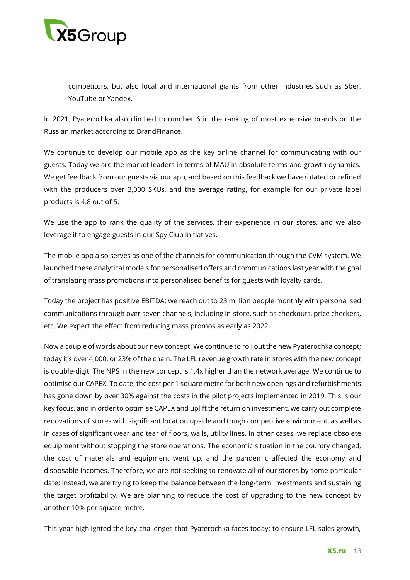

competitors, but also local and international giants from other industries such as Sber, YouTube or Yandex.

In 2021, Pyaterochka also climbed to number 6 in the ranking of most expensive brands on the Russian market according to BrandFinance.

We continue to develop our mobile app as the key online channel for communicating with our guests. Today we are the market leaders in terms of MAU in absolute terms and growth dynamics. We get feedback from our guests via our app, and based on this feedback we have rotated or refined with the producers over 3,000 SKUs, and the average rating, for example for our private label products is 4.8 out of 5.

We use the app to rank the quality of the services, their experience in our stores, and we also leverage it to engage guests in our Spy Club initiatives.

The mobile app also serves as one of the channels for communication through the CVM system. We launched these analytical models for personalised offers and communications last year with the goal of translating mass promotions into personalised benefits for guests with loyalty cards.

Today the project has positive EBITDA; we reach out to 23 million people monthly with personalised communications through over seven channels, including in-store, such as checkouts, price checkers, etc. We expect the effect from reducing mass promos as early as 2022.

Now a couple of words about our new concept. We continue to roll out the new Pyaterochka concept; today it's over 4,000, or 23% of the chain. The LFL revenue growth rate in stores with the new concept is double-digit. The NPS in the new concept is 1.4x higher than the network average. We continue to optimise our CAPEX. To date, the cost per 1 square metre for both new openings and refurbishments has gone down by over 30% against the costs in the pilot projects implemented in 2019. This is our key focus, and in order to optimise CAPEX and uplift the return on investment, we carry out complete renovations of stores with significant location upside and tough competitive environment, as well as in cases of significant wear and tear of floors, walls, utility lines. In other cases, we replace obsolete equipment without stopping the store operations. The economic situation in the country changed, the cost of materials and equipment went up, and the pandemic affected the economy and disposable incomes. Therefore, we are not seeking to renovate all of our stores by some particular date; instead, we are trying to keep the balance between the long-term investments and sustaining the target profitability. We are planning to reduce the cost of upgrading to the new concept by another 10% per square metre.

This year highlighted the key challenges that Pyaterochka faces today: to ensure LFL sales growth,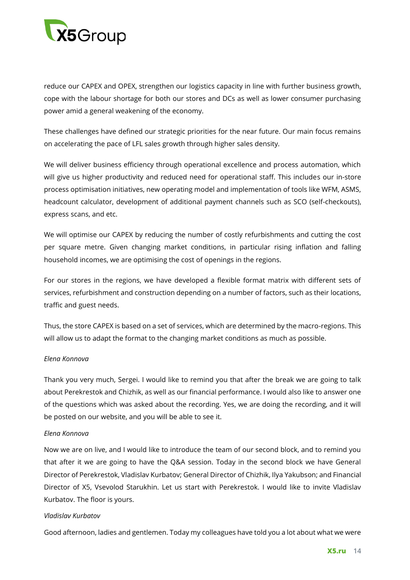

reduce our CAPEX and OPEX, strengthen our logistics capacity in line with further business growth, cope with the labour shortage for both our stores and DCs as well as lower consumer purchasing power amid a general weakening of the economy.

These challenges have defined our strategic priorities for the near future. Our main focus remains on accelerating the pace of LFL sales growth through higher sales density.

We will deliver business efficiency through operational excellence and process automation, which will give us higher productivity and reduced need for operational staff. This includes our in-store process optimisation initiatives, new operating model and implementation of tools like WFM, ASMS, headcount calculator, development of additional payment channels such as SCO (self-checkouts), express scans, and etc.

We will optimise our CAPEX by reducing the number of costly refurbishments and cutting the cost per square metre. Given changing market conditions, in particular rising inflation and falling household incomes, we are optimising the cost of openings in the regions.

For our stores in the regions, we have developed a flexible format matrix with different sets of services, refurbishment and construction depending on a number of factors, such as their locations, traffic and guest needs.

Thus, the store CAPEX is based on a set of services, which are determined by the macro-regions. This will allow us to adapt the format to the changing market conditions as much as possible.

# *Elena Konnova*

Thank you very much, Sergei. I would like to remind you that after the break we are going to talk about Perekrestok and Chizhik, as well as our financial performance. I would also like to answer one of the questions which was asked about the recording. Yes, we are doing the recording, and it will be posted on our website, and you will be able to see it.

# *Elena Konnova*

Now we are on live, and I would like to introduce the team of our second block, and to remind you that after it we are going to have the Q&A session. Today in the second block we have General Director of Perekrestok, Vladislav Kurbatov; General Director of Chizhik, Ilya Yakubson; and Financial Director of X5, Vsevolod Starukhin. Let us start with Perekrestok. I would like to invite Vladislav Kurbatov. The floor is yours.

# *Vladislav Kurbatov*

Good afternoon, ladies and gentlemen. Today my colleagues have told you a lot about what we were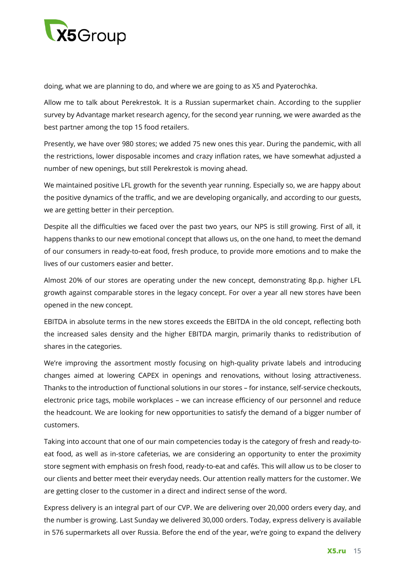

doing, what we are planning to do, and where we are going to as X5 and Pyaterochka.

Allow me to talk about Perekrestok. It is a Russian supermarket chain. According to the supplier survey by Advantage market research agency, for the second year running, we were awarded as the best partner among the top 15 food retailers.

Presently, we have over 980 stores; we added 75 new ones this year. During the pandemic, with all the restrictions, lower disposable incomes and crazy inflation rates, we have somewhat adjusted a number of new openings, but still Perekrestok is moving ahead.

We maintained positive LFL growth for the seventh year running. Especially so, we are happy about the positive dynamics of the traffic, and we are developing organically, and according to our guests, we are getting better in their perception.

Despite all the difficulties we faced over the past two years, our NPS is still growing. First of all, it happens thanks to our new emotional concept that allows us, on the one hand, to meet the demand of our consumers in ready-to-eat food, fresh produce, to provide more emotions and to make the lives of our customers easier and better.

Almost 20% of our stores are operating under the new concept, demonstrating 8p.p. higher LFL growth against comparable stores in the legacy concept. For over a year all new stores have been opened in the new concept.

EBITDA in absolute terms in the new stores exceeds the EBITDA in the old concept, reflecting both the increased sales density and the higher EBITDA margin, primarily thanks to redistribution of shares in the categories.

We're improving the assortment mostly focusing on high-quality private labels and introducing changes aimed at lowering CAPEX in openings and renovations, without losing attractiveness. Thanks to the introduction of functional solutions in our stores – for instance, self-service checkouts, electronic price tags, mobile workplaces – we can increase efficiency of our personnel and reduce the headcount. We are looking for new opportunities to satisfy the demand of a bigger number of customers.

Taking into account that one of our main competencies today is the category of fresh and ready-toeat food, as well as in-store cafeterias, we are considering an opportunity to enter the proximity store segment with emphasis on fresh food, ready-to-eat and cafés. This will allow us to be closer to our clients and better meet their everyday needs. Our attention really matters for the customer. We are getting closer to the customer in a direct and indirect sense of the word.

Express delivery is an integral part of our CVP. We are delivering over 20,000 orders every day, and the number is growing. Last Sunday we delivered 30,000 orders. Today, express delivery is available in 576 supermarkets all over Russia. Before the end of the year, we're going to expand the delivery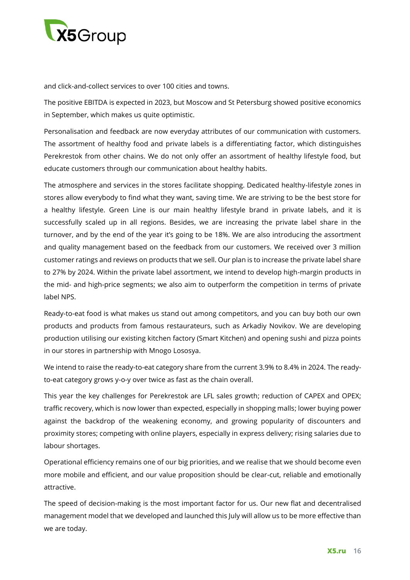

and click-and-collect services to over 100 cities and towns.

The positive EBITDA is expected in 2023, but Moscow and St Petersburg showed positive economics in September, which makes us quite optimistic.

Personalisation and feedback are now everyday attributes of our communication with customers. The assortment of healthy food and private labels is a differentiating factor, which distinguishes Perekrestok from other chains. We do not only offer an assortment of healthy lifestyle food, but educate customers through our communication about healthy habits.

The atmosphere and services in the stores facilitate shopping. Dedicated healthy-lifestyle zones in stores allow everybody to find what they want, saving time. We are striving to be the best store for a healthy lifestyle. Green Line is our main healthy lifestyle brand in private labels, and it is successfully scaled up in all regions. Besides, we are increasing the private label share in the turnover, and by the end of the year it's going to be 18%. We are also introducing the assortment and quality management based on the feedback from our customers. We received over 3 million customer ratings and reviews on products that we sell. Our plan is to increase the private label share to 27% by 2024. Within the private label assortment, we intend to develop high-margin products in the mid- and high-price segments; we also aim to outperform the competition in terms of private label NPS.

Ready-to-eat food is what makes us stand out among competitors, and you can buy both our own products and products from famous restaurateurs, such as Arkadiy Novikov. We are developing production utilising our existing kitchen factory (Smart Kitchen) and opening sushi and pizza points in our stores in partnership with Mnogo Lososya.

We intend to raise the ready-to-eat category share from the current 3.9% to 8.4% in 2024. The readyto-eat category grows y-o-y over twice as fast as the chain overall.

This year the key challenges for Perekrestok are LFL sales growth; reduction of CAPEX and OPEX; traffic recovery, which is now lower than expected, especially in shopping malls; lower buying power against the backdrop of the weakening economy, and growing popularity of discounters and proximity stores; competing with online players, especially in express delivery; rising salaries due to labour shortages.

Operational efficiency remains one of our big priorities, and we realise that we should become even more mobile and efficient, and our value proposition should be clear-cut, reliable and emotionally attractive.

The speed of decision-making is the most important factor for us. Our new flat and decentralised management model that we developed and launched this July will allow us to be more effective than we are today.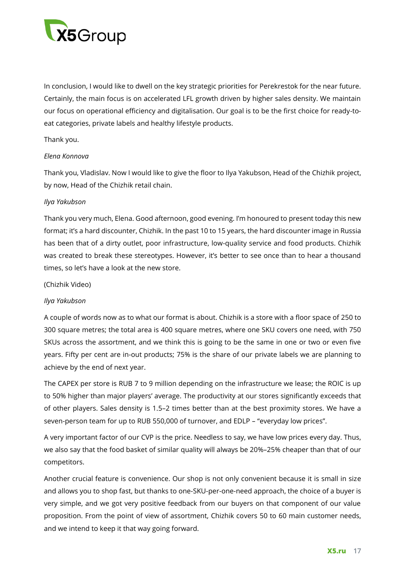

In conclusion, I would like to dwell on the key strategic priorities for Perekrestok for the near future. Certainly, the main focus is on accelerated LFL growth driven by higher sales density. We maintain our focus on operational efficiency and digitalisation. Our goal is to be the first choice for ready-toeat categories, private labels and healthy lifestyle products.

# Thank you.

### *Elena Konnova*

Thank you, Vladislav. Now I would like to give the floor to Ilya Yakubson, Head of the Chizhik project, by now, Head of the Chizhik retail chain.

### *Ilya Yakubson*

Thank you very much, Elena. Good afternoon, good evening. I'm honoured to present today this new format; it's a hard discounter, Chizhik. In the past 10 to 15 years, the hard discounter image in Russia has been that of a dirty outlet, poor infrastructure, low-quality service and food products. Chizhik was created to break these stereotypes. However, it's better to see once than to hear a thousand times, so let's have a look at the new store.

### (Chizhik Video)

#### *Ilya Yakubson*

A couple of words now as to what our format is about. Chizhik is a store with a floor space of 250 to 300 square metres; the total area is 400 square metres, where one SKU covers one need, with 750 SKUs across the assortment, and we think this is going to be the same in one or two or even five years. Fifty per cent are in-out products; 75% is the share of our private labels we are planning to achieve by the end of next year.

The CAPEX per store is RUB 7 to 9 million depending on the infrastructure we lease; the ROIC is up to 50% higher than major players' average. The productivity at our stores significantly exceeds that of other players. Sales density is 1.5–2 times better than at the best proximity stores. We have a seven-person team for up to RUB 550,000 of turnover, and EDLP – "everyday low prices".

A very important factor of our CVP is the price. Needless to say, we have low prices every day. Thus, we also say that the food basket of similar quality will always be 20%–25% cheaper than that of our competitors.

Another crucial feature is convenience. Our shop is not only convenient because it is small in size and allows you to shop fast, but thanks to one-SKU-per-one-need approach, the choice of a buyer is very simple, and we got very positive feedback from our buyers on that component of our value proposition. From the point of view of assortment, Chizhik covers 50 to 60 main customer needs, and we intend to keep it that way going forward.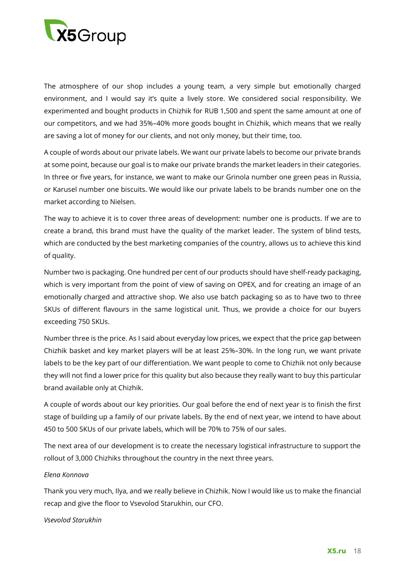

The atmosphere of our shop includes a young team, a very simple but emotionally charged environment, and I would say it's quite a lively store. We considered social responsibility. We experimented and bought products in Chizhik for RUB 1,500 and spent the same amount at one of our competitors, and we had 35%–40% more goods bought in Chizhik, which means that we really are saving a lot of money for our clients, and not only money, but their time, too.

A couple of words about our private labels. We want our private labels to become our private brands at some point, because our goal is to make our private brands the market leaders in their categories. In three or five years, for instance, we want to make our Grinola number one green peas in Russia, or Karusel number one biscuits. We would like our private labels to be brands number one on the market according to Nielsen.

The way to achieve it is to cover three areas of development: number one is products. If we are to create a brand, this brand must have the quality of the market leader. The system of blind tests, which are conducted by the best marketing companies of the country, allows us to achieve this kind of quality.

Number two is packaging. One hundred per cent of our products should have shelf-ready packaging, which is very important from the point of view of saving on OPEX, and for creating an image of an emotionally charged and attractive shop. We also use batch packaging so as to have two to three SKUs of different flavours in the same logistical unit. Thus, we provide a choice for our buyers exceeding 750 SKUs.

Number three is the price. As I said about everyday low prices, we expect that the price gap between Chizhik basket and key market players will be at least 25%–30%. In the long run, we want private labels to be the key part of our differentiation. We want people to come to Chizhik not only because they will not find a lower price for this quality but also because they really want to buy this particular brand available only at Chizhik.

A couple of words about our key priorities. Our goal before the end of next year is to finish the first stage of building up a family of our private labels. By the end of next year, we intend to have about 450 to 500 SKUs of our private labels, which will be 70% to 75% of our sales.

The next area of our development is to create the necessary logistical infrastructure to support the rollout of 3,000 Chizhiks throughout the country in the next three years.

#### *Elena Konnova*

Thank you very much, Ilya, and we really believe in Chizhik. Now I would like us to make the financial recap and give the floor to Vsevolod Starukhin, our CFO.

#### *Vsevolod Starukhin*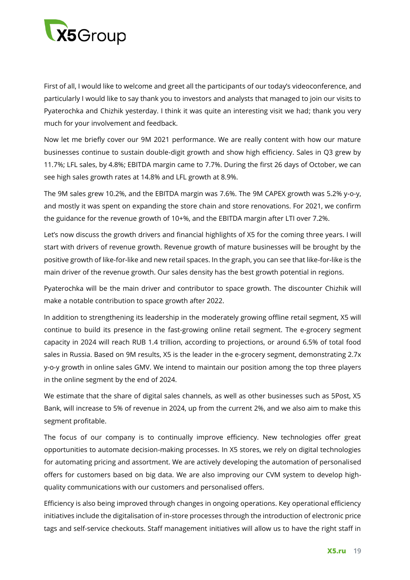

First of all, I would like to welcome and greet all the participants of our today's videoconference, and particularly I would like to say thank you to investors and analysts that managed to join our visits to Pyaterochka and Chizhik yesterday. I think it was quite an interesting visit we had; thank you very much for your involvement and feedback.

Now let me briefly cover our 9M 2021 performance. We are really content with how our mature businesses continue to sustain double-digit growth and show high efficiency. Sales in Q3 grew by 11.7%; LFL sales, by 4.8%; EBITDA margin came to 7.7%. During the first 26 days of October, we can see high sales growth rates at 14.8% and LFL growth at 8.9%.

The 9M sales grew 10.2%, and the EBITDA margin was 7.6%. The 9M CAPEX growth was 5.2% y-o-y, and mostly it was spent on expanding the store chain and store renovations. For 2021, we confirm the guidance for the revenue growth of 10+%, and the EBITDA margin after LTI over 7.2%.

Let's now discuss the growth drivers and financial highlights of X5 for the coming three years. I will start with drivers of revenue growth. Revenue growth of mature businesses will be brought by the positive growth of like-for-like and new retail spaces. In the graph, you can see that like-for-like is the main driver of the revenue growth. Our sales density has the best growth potential in regions.

Pyaterochka will be the main driver and contributor to space growth. The discounter Chizhik will make a notable contribution to space growth after 2022.

In addition to strengthening its leadership in the moderately growing offline retail segment, X5 will continue to build its presence in the fast-growing online retail segment. The e-grocery segment capacity in 2024 will reach RUB 1.4 trillion, according to projections, or around 6.5% of total food sales in Russia. Based on 9M results, X5 is the leader in the e-grocery segment, demonstrating 2.7x y-o-y growth in online sales GMV. We intend to maintain our position among the top three players in the online segment by the end of 2024.

We estimate that the share of digital sales channels, as well as other businesses such as 5Post, X5 Bank, will increase to 5% of revenue in 2024, up from the current 2%, and we also aim to make this segment profitable.

The focus of our company is to continually improve efficiency. New technologies offer great opportunities to automate decision-making processes. In X5 stores, we rely on digital technologies for automating pricing and assortment. We are actively developing the automation of personalised offers for customers based on big data. We are also improving our CVM system to develop highquality communications with our customers and personalised offers.

Efficiency is also being improved through changes in ongoing operations. Key operational efficiency initiatives include the digitalisation of in-store processes through the introduction of electronic price tags and self-service checkouts. Staff management initiatives will allow us to have the right staff in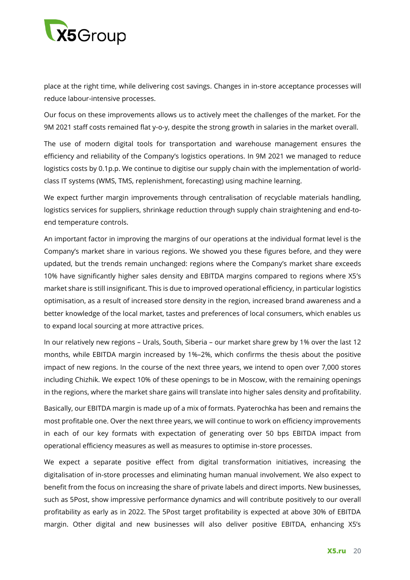

place at the right time, while delivering cost savings. Changes in in-store acceptance processes will reduce labour-intensive processes.

Our focus on these improvements allows us to actively meet the challenges of the market. For the 9M 2021 staff costs remained flat y-o-y, despite the strong growth in salaries in the market overall.

The use of modern digital tools for transportation and warehouse management ensures the efficiency and reliability of the Company's logistics operations. In 9M 2021 we managed to reduce logistics costs by 0.1p.p. We continue to digitise our supply chain with the implementation of worldclass IT systems (WMS, TMS, replenishment, forecasting) using machine learning.

We expect further margin improvements through centralisation of recyclable materials handling, logistics services for suppliers, shrinkage reduction through supply chain straightening and end-toend temperature controls.

An important factor in improving the margins of our operations at the individual format level is the Company's market share in various regions. We showed you these figures before, and they were updated, but the trends remain unchanged: regions where the Company's market share exceeds 10% have significantly higher sales density and EBITDA margins compared to regions where X5's market share is still insignificant. This is due to improved operational efficiency, in particular logistics optimisation, as a result of increased store density in the region, increased brand awareness and a better knowledge of the local market, tastes and preferences of local consumers, which enables us to expand local sourcing at more attractive prices.

In our relatively new regions – Urals, South, Siberia – our market share grew by 1% over the last 12 months, while EBITDA margin increased by 1%–2%, which confirms the thesis about the positive impact of new regions. In the course of the next three years, we intend to open over 7,000 stores including Chizhik. We expect 10% of these openings to be in Moscow, with the remaining openings in the regions, where the market share gains will translate into higher sales density and profitability.

Basically, our EBITDA margin is made up of a mix of formats. Pyaterochka has been and remains the most profitable one. Over the next three years, we will continue to work on efficiency improvements in each of our key formats with expectation of generating over 50 bps EBITDA impact from operational efficiency measures as well as measures to optimise in-store processes.

We expect a separate positive effect from digital transformation initiatives, increasing the digitalisation of in-store processes and eliminating human manual involvement. We also expect to benefit from the focus on increasing the share of private labels and direct imports. New businesses, such as 5Post, show impressive performance dynamics and will contribute positively to our overall profitability as early as in 2022. The 5Post target profitability is expected at above 30% of EBITDA margin. Other digital and new businesses will also deliver positive EBITDA, enhancing X5's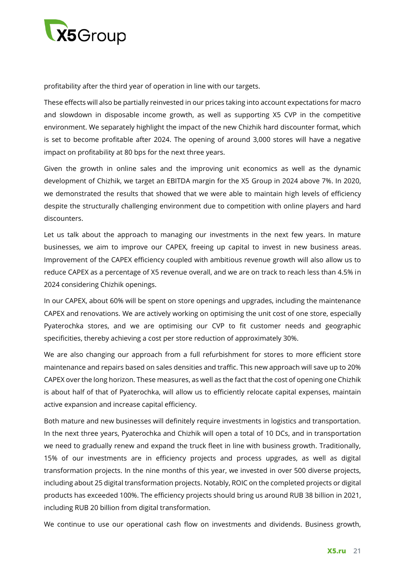

profitability after the third year of operation in line with our targets.

These effects will also be partially reinvested in our prices taking into account expectations for macro and slowdown in disposable income growth, as well as supporting X5 CVP in the competitive environment. We separately highlight the impact of the new Chizhik hard discounter format, which is set to become profitable after 2024. The opening of around 3,000 stores will have a negative impact on profitability at 80 bps for the next three years.

Given the growth in online sales and the improving unit economics as well as the dynamic development of Chizhik, we target an EBITDA margin for the X5 Group in 2024 above 7%. In 2020, we demonstrated the results that showed that we were able to maintain high levels of efficiency despite the structurally challenging environment due to competition with online players and hard discounters.

Let us talk about the approach to managing our investments in the next few years. In mature businesses, we aim to improve our CAPEX, freeing up capital to invest in new business areas. Improvement of the CAPEX efficiency coupled with ambitious revenue growth will also allow us to reduce CAPEX as a percentage of X5 revenue overall, and we are on track to reach less than 4.5% in 2024 considering Chizhik openings.

In our CAPEX, about 60% will be spent on store openings and upgrades, including the maintenance CAPEX and renovations. We are actively working on optimising the unit cost of one store, especially Pyaterochka stores, and we are optimising our CVP to fit customer needs and geographic specificities, thereby achieving a cost per store reduction of approximately 30%.

We are also changing our approach from a full refurbishment for stores to more efficient store maintenance and repairs based on sales densities and traffic. This new approach will save up to 20% CAPEX over the long horizon. These measures, as well as the fact that the cost of opening one Chizhik is about half of that of Pyaterochka, will allow us to efficiently relocate capital expenses, maintain active expansion and increase capital efficiency.

Both mature and new businesses will definitely require investments in logistics and transportation. In the next three years, Pyaterochka and Chizhik will open a total of 10 DCs, and in transportation we need to gradually renew and expand the truck fleet in line with business growth. Traditionally, 15% of our investments are in efficiency projects and process upgrades, as well as digital transformation projects. In the nine months of this year, we invested in over 500 diverse projects, including about 25 digital transformation projects. Notably, ROIC on the completed projects or digital products has exceeded 100%. The efficiency projects should bring us around RUB 38 billion in 2021, including RUB 20 billion from digital transformation.

We continue to use our operational cash flow on investments and dividends. Business growth,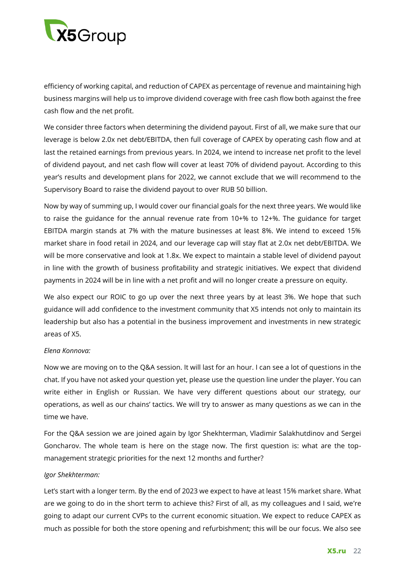

efficiency of working capital, and reduction of CAPEX as percentage of revenue and maintaining high business margins will help us to improve dividend coverage with free cash flow both against the free cash flow and the net profit.

We consider three factors when determining the dividend payout. First of all, we make sure that our leverage is below 2.0x net debt/EBITDA, then full coverage of CAPEX by operating cash flow and at last the retained earnings from previous years. In 2024, we intend to increase net profit to the level of dividend payout, and net cash flow will cover at least 70% of dividend payout. According to this year's results and development plans for 2022, we cannot exclude that we will recommend to the Supervisory Board to raise the dividend payout to over RUB 50 billion.

Now by way of summing up, I would cover our financial goals for the next three years. We would like to raise the guidance for the annual revenue rate from 10+% to 12+%. The guidance for target EBITDA margin stands at 7% with the mature businesses at least 8%. We intend to exceed 15% market share in food retail in 2024, and our leverage cap will stay flat at 2.0x net debt/EBITDA. We will be more conservative and look at 1.8x. We expect to maintain a stable level of dividend payout in line with the growth of business profitability and strategic initiatives. We expect that dividend payments in 2024 will be in line with a net profit and will no longer create a pressure on equity.

We also expect our ROIC to go up over the next three years by at least 3%. We hope that such guidance will add confidence to the investment community that X5 intends not only to maintain its leadership but also has a potential in the business improvement and investments in new strategic areas of X5.

#### *Elena Konnova:*

Now we are moving on to the Q&A session. It will last for an hour. I can see a lot of questions in the chat. If you have not asked your question yet, please use the question line under the player. You can write either in English or Russian. We have very different questions about our strategy, our operations, as well as our chains' tactics. We will try to answer as many questions as we can in the time we have.

For the Q&A session we are joined again by Igor Shekhterman, Vladimir Salakhutdinov and Sergei Goncharov. The whole team is here on the stage now. The first question is: what are the topmanagement strategic priorities for the next 12 months and further?

#### *Igor Shekhterman:*

Let's start with a longer term. By the end of 2023 we expect to have at least 15% market share. What are we going to do in the short term to achieve this? First of all, as my colleagues and I said, we're going to adapt our current CVPs to the current economic situation. We expect to reduce CAPEX as much as possible for both the store opening and refurbishment; this will be our focus. We also see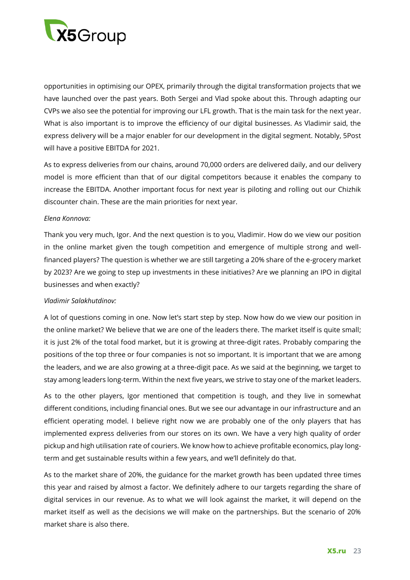

opportunities in optimising our OPEX, primarily through the digital transformation projects that we have launched over the past years. Both Sergei and Vlad spoke about this. Through adapting our CVPs we also see the potential for improving our LFL growth. That is the main task for the next year. What is also important is to improve the efficiency of our digital businesses. As Vladimir said, the express delivery will be a major enabler for our development in the digital segment. Notably, 5Post will have a positive EBITDA for 2021.

As to express deliveries from our chains, around 70,000 orders are delivered daily, and our delivery model is more efficient than that of our digital competitors because it enables the company to increase the EBITDA. Another important focus for next year is piloting and rolling out our Chizhik discounter chain. These are the main priorities for next year.

#### *Elena Konnova:*

Thank you very much, Igor. And the next question is to you, Vladimir. How do we view our position in the online market given the tough competition and emergence of multiple strong and wellfinanced players? The question is whether we are still targeting a 20% share of the e-grocery market by 2023? Are we going to step up investments in these initiatives? Are we planning an IPO in digital businesses and when exactly?

# *Vladimir Salakhutdinov:*

A lot of questions coming in one. Now let's start step by step. Now how do we view our position in the online market? We believe that we are one of the leaders there. The market itself is quite small; it is just 2% of the total food market, but it is growing at three-digit rates. Probably comparing the positions of the top three or four companies is not so important. It is important that we are among the leaders, and we are also growing at a three-digit pace. As we said at the beginning, we target to stay among leaders long-term. Within the next five years, we strive to stay one of the market leaders.

As to the other players, Igor mentioned that competition is tough, and they live in somewhat different conditions, including financial ones. But we see our advantage in our infrastructure and an efficient operating model. I believe right now we are probably one of the only players that has implemented express deliveries from our stores on its own. We have a very high quality of order pickup and high utilisation rate of couriers. We know how to achieve profitable economics, play longterm and get sustainable results within a few years, and we'll definitely do that.

As to the market share of 20%, the guidance for the market growth has been updated three times this year and raised by almost a factor. We definitely adhere to our targets regarding the share of digital services in our revenue. As to what we will look against the market, it will depend on the market itself as well as the decisions we will make on the partnerships. But the scenario of 20% market share is also there.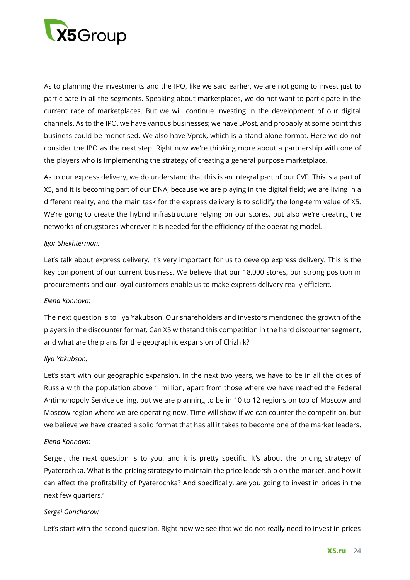

As to planning the investments and the IPO, like we said earlier, we are not going to invest just to participate in all the segments. Speaking about marketplaces, we do not want to participate in the current race of marketplaces. But we will continue investing in the development of our digital channels. As to the IPO, we have various businesses; we have 5Post, and probably at some point this business could be monetised. We also have Vprok, which is a stand-alone format. Here we do not consider the IPO as the next step. Right now we're thinking more about a partnership with one of the players who is implementing the strategy of creating a general purpose marketplace.

As to our express delivery, we do understand that this is an integral part of our CVP. This is a part of X5, and it is becoming part of our DNA, because we are playing in the digital field; we are living in a different reality, and the main task for the express delivery is to solidify the long-term value of X5. We're going to create the hybrid infrastructure relying on our stores, but also we're creating the networks of drugstores wherever it is needed for the efficiency of the operating model.

### *Igor Shekhterman:*

Let's talk about express delivery. It's very important for us to develop express delivery. This is the key component of our current business. We believe that our 18,000 stores, our strong position in procurements and our loyal customers enable us to make express delivery really efficient.

# *Elena Konnova:*

The next question is to Ilya Yakubson. Our shareholders and investors mentioned the growth of the players in the discounter format. Can X5 withstand this competition in the hard discounter segment, and what are the plans for the geographic expansion of Chizhik?

# *Ilya Yakubson:*

Let's start with our geographic expansion. In the next two years, we have to be in all the cities of Russia with the population above 1 million, apart from those where we have reached the Federal Antimonopoly Service ceiling, but we are planning to be in 10 to 12 regions on top of Moscow and Moscow region where we are operating now. Time will show if we can counter the competition, but we believe we have created a solid format that has all it takes to become one of the market leaders.

#### *Elena Konnova:*

Sergei, the next question is to you, and it is pretty specific. It's about the pricing strategy of Pyaterochka. What is the pricing strategy to maintain the price leadership on the market, and how it can affect the profitability of Pyaterochka? And specifically, are you going to invest in prices in the next few quarters?

# *Sergei Goncharov:*

Let's start with the second question. Right now we see that we do not really need to invest in prices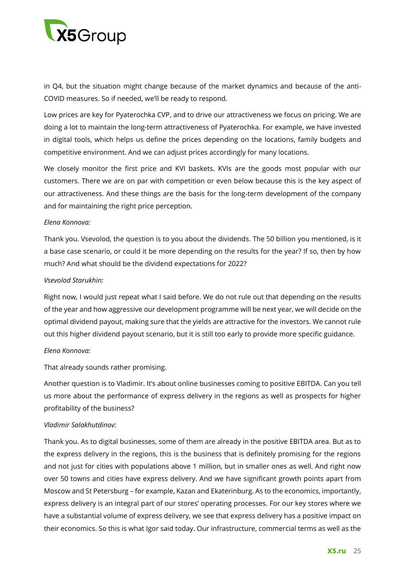

in Q4, but the situation might change because of the market dynamics and because of the anti-COVID measures. So if needed, we'll be ready to respond.

Low prices are key for Pyaterochka CVP, and to drive our attractiveness we focus on pricing. We are doing a lot to maintain the long-term attractiveness of Pyaterochka. For example, we have invested in digital tools, which helps us define the prices depending on the locations, family budgets and competitive environment. And we can adjust prices accordingly for many locations.

We closely monitor the first price and KVI baskets. KVIs are the goods most popular with our customers. There we are on par with competition or even below because this is the key aspect of our attractiveness. And these things are the basis for the long-term development of the company and for maintaining the right price perception.

### *Elena Konnova:*

Thank you. Vsevolod, the question is to you about the dividends. The 50 billion you mentioned, is it a base case scenario, or could it be more depending on the results for the year? If so, then by how much? And what should be the dividend expectations for 2022?

### *Vsevolod Starukhin:*

Right now, I would just repeat what I said before. We do not rule out that depending on the results of the year and how aggressive our development programme will be next year, we will decide on the optimal dividend payout, making sure that the yields are attractive for the investors. We cannot rule out this higher dividend payout scenario, but it is still too early to provide more specific guidance.

# *Elena Konnova:*

That already sounds rather promising.

Another question is to Vladimir. It's about online businesses coming to positive EBITDA. Can you tell us more about the performance of express delivery in the regions as well as prospects for higher profitability of the business?

# *Vladimir Salakhutdinov:*

Thank you. As to digital businesses, some of them are already in the positive EBITDA area. But as to the express delivery in the regions, this is the business that is definitely promising for the regions and not just for cities with populations above 1 million, but in smaller ones as well. And right now over 50 towns and cities have express delivery. And we have significant growth points apart from Moscow and St Petersburg – for example, Kazan and Ekaterinburg. As to the economics, importantly, express delivery is an integral part of our stores' operating processes. For our key stores where we have a substantial volume of express delivery, we see that express delivery has a positive impact on their economics. So this is what Igor said today. Our infrastructure, commercial terms as well as the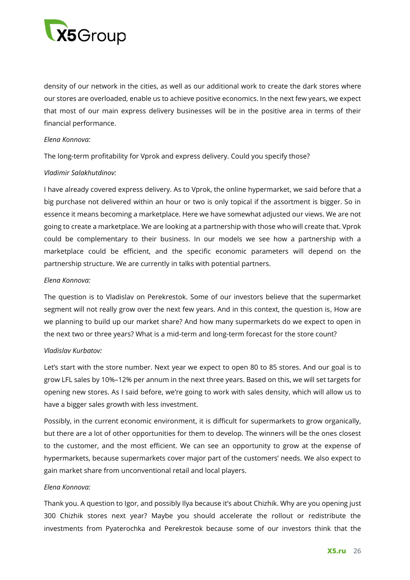

density of our network in the cities, as well as our additional work to create the dark stores where our stores are overloaded, enable us to achieve positive economics. In the next few years, we expect that most of our main express delivery businesses will be in the positive area in terms of their financial performance.

#### *Elena Konnova:*

The long-term profitability for Vprok and express delivery. Could you specify those?

### *Vladimir Salakhutdinov:*

I have already covered express delivery. As to Vprok, the online hypermarket, we said before that a big purchase not delivered within an hour or two is only topical if the assortment is bigger. So in essence it means becoming a marketplace. Here we have somewhat adjusted our views. We are not going to create a marketplace. We are looking at a partnership with those who will create that. Vprok could be complementary to their business. In our models we see how a partnership with a marketplace could be efficient, and the specific economic parameters will depend on the partnership structure. We are currently in talks with potential partners.

### *Elena Konnova:*

The question is to Vladislav on Perekrestok. Some of our investors believe that the supermarket segment will not really grow over the next few years. And in this context, the question is, How are we planning to build up our market share? And how many supermarkets do we expect to open in the next two or three years? What is a mid-term and long-term forecast for the store count?

#### *Vladislav Kurbatov:*

Let's start with the store number. Next year we expect to open 80 to 85 stores. And our goal is to grow LFL sales by 10%–12% per annum in the next three years. Based on this, we will set targets for opening new stores. As I said before, we're going to work with sales density, which will allow us to have a bigger sales growth with less investment.

Possibly, in the current economic environment, it is difficult for supermarkets to grow organically, but there are a lot of other opportunities for them to develop. The winners will be the ones closest to the customer, and the most efficient. We can see an opportunity to grow at the expense of hypermarkets, because supermarkets cover major part of the customers' needs. We also expect to gain market share from unconventional retail and local players.

#### *Elena Konnova:*

Thank you. A question to Igor, and possibly Ilya because it's about Chizhik. Why are you opening just 300 Chizhik stores next year? Maybe you should accelerate the rollout or redistribute the investments from Pyaterochka and Perekrestok because some of our investors think that the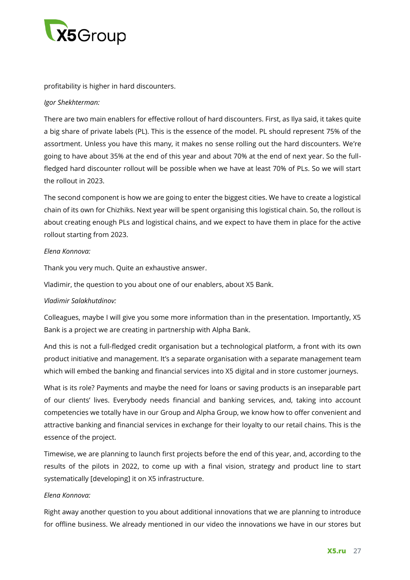

profitability is higher in hard discounters.

### *Igor Shekhterman:*

There are two main enablers for effective rollout of hard discounters. First, as Ilya said, it takes quite a big share of private labels (PL). This is the essence of the model. PL should represent 75% of the assortment. Unless you have this many, it makes no sense rolling out the hard discounters. We're going to have about 35% at the end of this year and about 70% at the end of next year. So the fullfledged hard discounter rollout will be possible when we have at least 70% of PLs. So we will start the rollout in 2023.

The second component is how we are going to enter the biggest cities. We have to create a logistical chain of its own for Chizhiks. Next year will be spent organising this logistical chain. So, the rollout is about creating enough PLs and logistical chains, and we expect to have them in place for the active rollout starting from 2023.

### *Elena Konnova:*

Thank you very much. Quite an exhaustive answer.

Vladimir, the question to you about one of our enablers, about X5 Bank.

# *Vladimir Salakhutdinov:*

Colleagues, maybe I will give you some more information than in the presentation. Importantly, X5 Bank is a project we are creating in partnership with Alpha Bank.

And this is not a full-fledged credit organisation but a technological platform, a front with its own product initiative and management. It's a separate organisation with a separate management team which will embed the banking and financial services into X5 digital and in store customer journeys.

What is its role? Payments and maybe the need for loans or saving products is an inseparable part of our clients' lives. Everybody needs financial and banking services, and, taking into account competencies we totally have in our Group and Alpha Group, we know how to offer convenient and attractive banking and financial services in exchange for their loyalty to our retail chains. This is the essence of the project.

Timewise, we are planning to launch first projects before the end of this year, and, according to the results of the pilots in 2022, to come up with a final vision, strategy and product line to start systematically [developing] it on X5 infrastructure.

#### *Elena Konnova:*

Right away another question to you about additional innovations that we are planning to introduce for offline business. We already mentioned in our video the innovations we have in our stores but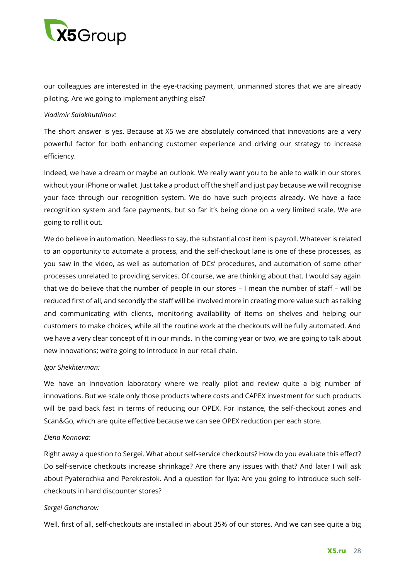

our colleagues are interested in the eye-tracking payment, unmanned stores that we are already piloting. Are we going to implement anything else?

### *Vladimir Salakhutdinov:*

The short answer is yes. Because at X5 we are absolutely convinced that innovations are a very powerful factor for both enhancing customer experience and driving our strategy to increase efficiency.

Indeed, we have a dream or maybe an outlook. We really want you to be able to walk in our stores without your iPhone or wallet. Just take a product off the shelf and just pay because we will recognise your face through our recognition system. We do have such projects already. We have a face recognition system and face payments, but so far it's being done on a very limited scale. We are going to roll it out.

We do believe in automation. Needless to say, the substantial cost item is payroll. Whatever is related to an opportunity to automate a process, and the self-checkout lane is one of these processes, as you saw in the video, as well as automation of DCs' procedures, and automation of some other processes unrelated to providing services. Of course, we are thinking about that. I would say again that we do believe that the number of people in our stores – I mean the number of staff – will be reduced first of all, and secondly the staff will be involved more in creating more value such as talking and communicating with clients, monitoring availability of items on shelves and helping our customers to make choices, while all the routine work at the checkouts will be fully automated. And we have a very clear concept of it in our minds. In the coming year or two, we are going to talk about new innovations; we're going to introduce in our retail chain.

# *Igor Shekhterman:*

We have an innovation laboratory where we really pilot and review quite a big number of innovations. But we scale only those products where costs and CAPEX investment for such products will be paid back fast in terms of reducing our OPEX. For instance, the self-checkout zones and Scan&Go, which are quite effective because we can see OPEX reduction per each store.

#### *Elena Konnova:*

Right away a question to Sergei. What about self-service checkouts? How do you evaluate this effect? Do self-service checkouts increase shrinkage? Are there any issues with that? And later I will ask about Pyaterochka and Perekrestok. And a question for Ilya: Are you going to introduce such selfcheckouts in hard discounter stores?

# *Sergei Goncharov:*

Well, first of all, self-checkouts are installed in about 35% of our stores. And we can see quite a big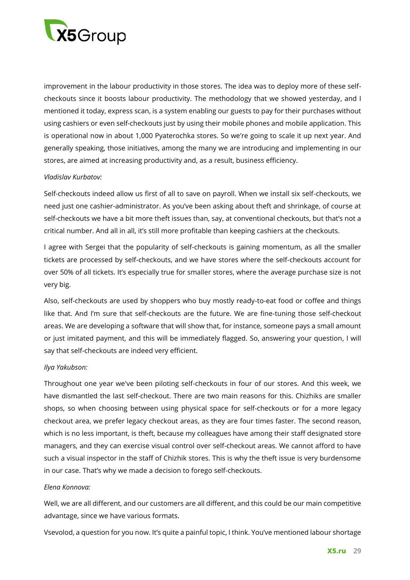

improvement in the labour productivity in those stores. The idea was to deploy more of these selfcheckouts since it boosts labour productivity. The methodology that we showed yesterday, and I mentioned it today, express scan, is a system enabling our guests to pay for their purchases without using cashiers or even self-checkouts just by using their mobile phones and mobile application. This is operational now in about 1,000 Pyaterochka stores. So we're going to scale it up next year. And generally speaking, those initiatives, among the many we are introducing and implementing in our stores, are aimed at increasing productivity and, as a result, business efficiency.

### *Vladislav Kurbatov:*

Self-checkouts indeed allow us first of all to save on payroll. When we install six self-checkouts, we need just one cashier-administrator. As you've been asking about theft and shrinkage, of course at self-checkouts we have a bit more theft issues than, say, at conventional checkouts, but that's not a critical number. And all in all, it's still more profitable than keeping cashiers at the checkouts.

I agree with Sergei that the popularity of self-checkouts is gaining momentum, as all the smaller tickets are processed by self-checkouts, and we have stores where the self-checkouts account for over 50% of all tickets. It's especially true for smaller stores, where the average purchase size is not very big.

Also, self-checkouts are used by shoppers who buy mostly ready-to-eat food or coffee and things like that. And I'm sure that self-checkouts are the future. We are fine-tuning those self-checkout areas. We are developing a software that will show that, for instance, someone pays a small amount or just imitated payment, and this will be immediately flagged. So, answering your question, I will say that self-checkouts are indeed very efficient.

# *Ilya Yakubson:*

Throughout one year we've been piloting self-checkouts in four of our stores. And this week, we have dismantled the last self-checkout. There are two main reasons for this. Chizhiks are smaller shops, so when choosing between using physical space for self-checkouts or for a more legacy checkout area, we prefer legacy checkout areas, as they are four times faster. The second reason, which is no less important, is theft, because my colleagues have among their staff designated store managers, and they can exercise visual control over self-checkout areas. We cannot afford to have such a visual inspector in the staff of Chizhik stores. This is why the theft issue is very burdensome in our case. That's why we made a decision to forego self-checkouts.

#### *Elena Konnova:*

Well, we are all different, and our customers are all different, and this could be our main competitive advantage, since we have various formats.

Vsevolod, a question for you now. It's quite a painful topic, I think. You've mentioned labour shortage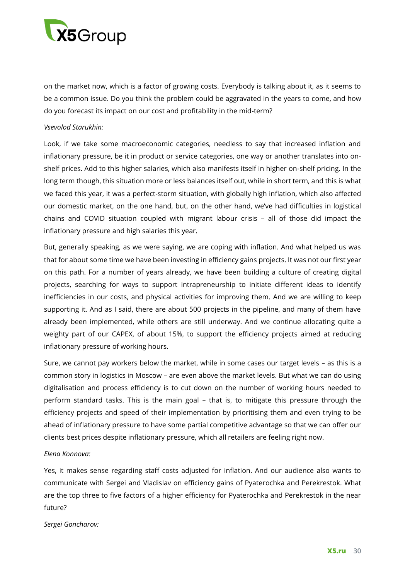

on the market now, which is a factor of growing costs. Everybody is talking about it, as it seems to be a common issue. Do you think the problem could be aggravated in the years to come, and how do you forecast its impact on our cost and profitability in the mid-term?

#### *Vsevolod Starukhin:*

Look, if we take some macroeconomic categories, needless to say that increased inflation and inflationary pressure, be it in product or service categories, one way or another translates into onshelf prices. Add to this higher salaries, which also manifests itself in higher on-shelf pricing. In the long term though, this situation more or less balances itself out, while in short term, and this is what we faced this year, it was a perfect-storm situation, with globally high inflation, which also affected our domestic market, on the one hand, but, on the other hand, we've had difficulties in logistical chains and COVID situation coupled with migrant labour crisis – all of those did impact the inflationary pressure and high salaries this year.

But, generally speaking, as we were saying, we are coping with inflation. And what helped us was that for about some time we have been investing in efficiency gains projects. It was not our first year on this path. For a number of years already, we have been building a culture of creating digital projects, searching for ways to support intrapreneurship to initiate different ideas to identify inefficiencies in our costs, and physical activities for improving them. And we are willing to keep supporting it. And as I said, there are about 500 projects in the pipeline, and many of them have already been implemented, while others are still underway. And we continue allocating quite a weighty part of our CAPEX, of about 15%, to support the efficiency projects aimed at reducing inflationary pressure of working hours.

Sure, we cannot pay workers below the market, while in some cases our target levels – as this is a common story in logistics in Moscow – are even above the market levels. But what we can do using digitalisation and process efficiency is to cut down on the number of working hours needed to perform standard tasks. This is the main goal – that is, to mitigate this pressure through the efficiency projects and speed of their implementation by prioritising them and even trying to be ahead of inflationary pressure to have some partial competitive advantage so that we can offer our clients best prices despite inflationary pressure, which all retailers are feeling right now.

#### *Elena Konnova:*

Yes, it makes sense regarding staff costs adjusted for inflation. And our audience also wants to communicate with Sergei and Vladislav on efficiency gains of Pyaterochka and Perekrestok. What are the top three to five factors of a higher efficiency for Pyaterochka and Perekrestok in the near future?

#### *Sergei Goncharov:*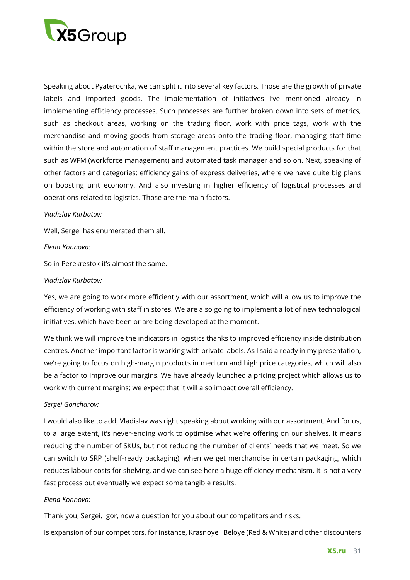

Speaking about Pyaterochka, we can split it into several key factors. Those are the growth of private labels and imported goods. The implementation of initiatives I've mentioned already in implementing efficiency processes. Such processes are further broken down into sets of metrics, such as checkout areas, working on the trading floor, work with price tags, work with the merchandise and moving goods from storage areas onto the trading floor, managing staff time within the store and automation of staff management practices. We build special products for that such as WFM (workforce management) and automated task manager and so on. Next, speaking of other factors and categories: efficiency gains of express deliveries, where we have quite big plans on boosting unit economy. And also investing in higher efficiency of logistical processes and operations related to logistics. Those are the main factors.

#### *Vladislav Kurbatov:*

Well, Sergei has enumerated them all.

#### *Elena Konnova:*

So in Perekrestok it's almost the same.

#### *Vladislav Kurbatov:*

Yes, we are going to work more efficiently with our assortment, which will allow us to improve the efficiency of working with staff in stores. We are also going to implement a lot of new technological initiatives, which have been or are being developed at the moment.

We think we will improve the indicators in logistics thanks to improved efficiency inside distribution centres. Another important factor is working with private labels. As I said already in my presentation, we're going to focus on high-margin products in medium and high price categories, which will also be a factor to improve our margins. We have already launched a pricing project which allows us to work with current margins; we expect that it will also impact overall efficiency.

#### *Sergei Goncharov:*

I would also like to add, Vladislav was right speaking about working with our assortment. And for us, to a large extent, it's never-ending work to optimise what we're offering on our shelves. It means reducing the number of SKUs, but not reducing the number of clients' needs that we meet. So we can switch to SRP (shelf-ready packaging), when we get merchandise in certain packaging, which reduces labour costs for shelving, and we can see here a huge efficiency mechanism. It is not a very fast process but eventually we expect some tangible results.

#### *Elena Konnova:*

Thank you, Sergei. Igor, now a question for you about our competitors and risks.

Is expansion of our competitors, for instance, Krasnoye i Beloye (Red & White) and other discounters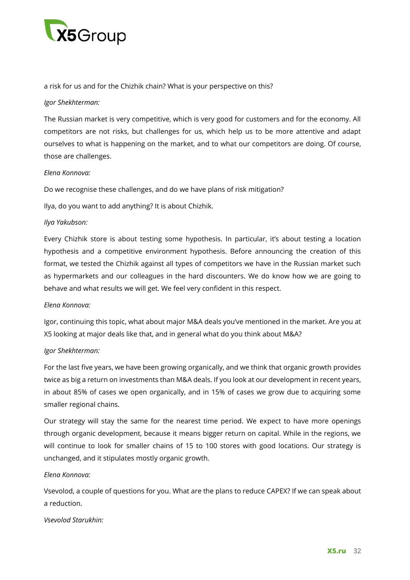

a risk for us and for the Chizhik chain? What is your perspective on this?

### *Igor Shekhterman:*

The Russian market is very competitive, which is very good for customers and for the economy. All competitors are not risks, but challenges for us, which help us to be more attentive and adapt ourselves to what is happening on the market, and to what our competitors are doing. Of course, those are challenges.

# *Elena Konnova:*

Do we recognise these challenges, and do we have plans of risk mitigation?

Ilya, do you want to add anything? It is about Chizhik.

### *Ilya Yakubson:*

Every Chizhik store is about testing some hypothesis. In particular, it's about testing a location hypothesis and a competitive environment hypothesis. Before announcing the creation of this format, we tested the Chizhik against all types of competitors we have in the Russian market such as hypermarkets and our colleagues in the hard discounters. We do know how we are going to behave and what results we will get. We feel very confident in this respect.

#### *Elena Konnova:*

Igor, continuing this topic, what about major M&A deals you've mentioned in the market. Are you at X5 looking at major deals like that, and in general what do you think about M&A?

#### *Igor Shekhterman:*

For the last five years, we have been growing organically, and we think that organic growth provides twice as big a return on investments than M&A deals. If you look at our development in recent years, in about 85% of cases we open organically, and in 15% of cases we grow due to acquiring some smaller regional chains.

Our strategy will stay the same for the nearest time period. We expect to have more openings through organic development, because it means bigger return on capital. While in the regions, we will continue to look for smaller chains of 15 to 100 stores with good locations. Our strategy is unchanged, and it stipulates mostly organic growth.

#### *Elena Konnova:*

Vsevolod, a couple of questions for you. What are the plans to reduce CAPEX? If we can speak about a reduction.

#### *Vsevolod Starukhin:*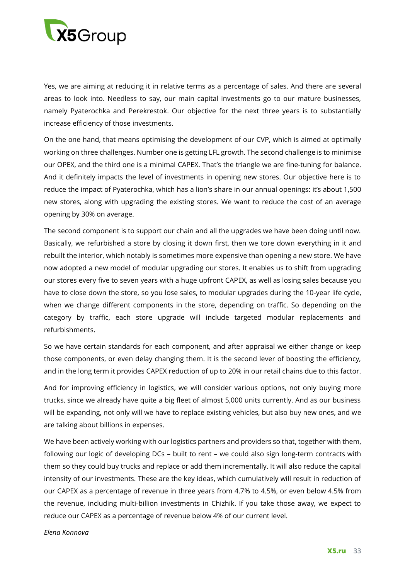

Yes, we are aiming at reducing it in relative terms as a percentage of sales. And there are several areas to look into. Needless to say, our main capital investments go to our mature businesses, namely Pyaterochka and Perekrestok. Our objective for the next three years is to substantially increase efficiency of those investments.

On the one hand, that means optimising the development of our CVP, which is aimed at optimally working on three challenges. Number one is getting LFL growth. The second challenge is to minimise our OPEX, and the third one is a minimal CAPEX. That's the triangle we are fine-tuning for balance. And it definitely impacts the level of investments in opening new stores. Our objective here is to reduce the impact of Pyaterochka, which has a lion's share in our annual openings: it's about 1,500 new stores, along with upgrading the existing stores. We want to reduce the cost of an average opening by 30% on average.

The second component is to support our chain and all the upgrades we have been doing until now. Basically, we refurbished a store by closing it down first, then we tore down everything in it and rebuilt the interior, which notably is sometimes more expensive than opening a new store. We have now adopted a new model of modular upgrading our stores. It enables us to shift from upgrading our stores every five to seven years with a huge upfront CAPEX, as well as losing sales because you have to close down the store, so you lose sales, to modular upgrades during the 10-year life cycle, when we change different components in the store, depending on traffic. So depending on the category by traffic, each store upgrade will include targeted modular replacements and refurbishments.

So we have certain standards for each component, and after appraisal we either change or keep those components, or even delay changing them. It is the second lever of boosting the efficiency, and in the long term it provides CAPEX reduction of up to 20% in our retail chains due to this factor.

And for improving efficiency in logistics, we will consider various options, not only buying more trucks, since we already have quite a big fleet of almost 5,000 units currently. And as our business will be expanding, not only will we have to replace existing vehicles, but also buy new ones, and we are talking about billions in expenses.

We have been actively working with our logistics partners and providers so that, together with them, following our logic of developing DCs – built to rent – we could also sign long-term contracts with them so they could buy trucks and replace or add them incrementally. It will also reduce the capital intensity of our investments. These are the key ideas, which cumulatively will result in reduction of our CAPEX as a percentage of revenue in three years from 4.7% to 4.5%, or even below 4.5% from the revenue, including multi-billion investments in Chizhik. If you take those away, we expect to reduce our CAPEX as a percentage of revenue below 4% of our current level.

*Elena Konnova*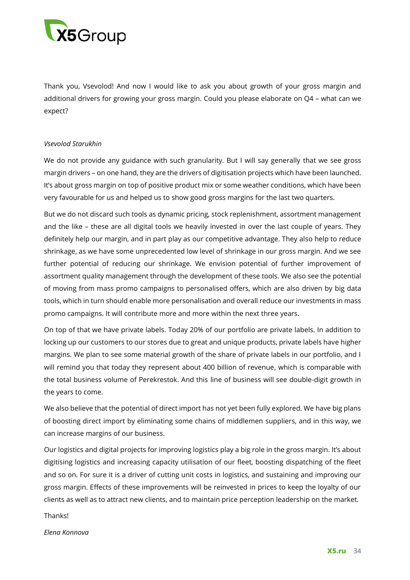

Thank you, Vsevolod! And now I would like to ask you about growth of your gross margin and additional drivers for growing your gross margin. Could you please elaborate on Q4 – what can we expect?

### *Vsevolod Starukhin*

We do not provide any guidance with such granularity. But I will say generally that we see gross margin drivers – on one hand, they are the drivers of digitisation projects which have been launched. It's about gross margin on top of positive product mix or some weather conditions, which have been very favourable for us and helped us to show good gross margins for the last two quarters.

But we do not discard such tools as dynamic pricing, stock replenishment, assortment management and the like – these are all digital tools we heavily invested in over the last couple of years. They definitely help our margin, and in part play as our competitive advantage. They also help to reduce shrinkage, as we have some unprecedented low level of shrinkage in our gross margin. And we see further potential of reducing our shrinkage. We envision potential of further improvement of assortment quality management through the development of these tools. We also see the potential of moving from mass promo campaigns to personalised offers, which are also driven by big data tools, which in turn should enable more personalisation and overall reduce our investments in mass promo campaigns. It will contribute more and more within the next three years.

On top of that we have private labels. Today 20% of our portfolio are private labels. In addition to locking up our customers to our stores due to great and unique products, private labels have higher margins. We plan to see some material growth of the share of private labels in our portfolio, and I will remind you that today they represent about 400 billion of revenue, which is comparable with the total business volume of Perekrestok. And this line of business will see double-digit growth in the years to come.

We also believe that the potential of direct import has not yet been fully explored. We have big plans of boosting direct import by eliminating some chains of middlemen suppliers, and in this way, we can increase margins of our business.

Our logistics and digital projects for improving logistics play a big role in the gross margin. It's about digitising logistics and increasing capacity utilisation of our fleet, boosting dispatching of the fleet and so on. For sure it is a driver of cutting unit costs in logistics, and sustaining and improving our gross margin. Effects of these improvements will be reinvested in prices to keep the loyalty of our clients as well as to attract new clients, and to maintain price perception leadership on the market.

Thanks!

*Elena Konnova*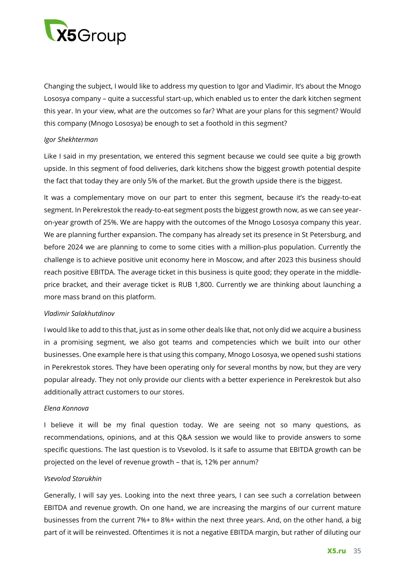

Changing the subject, I would like to address my question to Igor and Vladimir. It's about the Mnogo Lososya company – quite a successful start-up, which enabled us to enter the dark kitchen segment this year. In your view, what are the outcomes so far? What are your plans for this segment? Would this company (Mnogo Lososya) be enough to set a foothold in this segment?

### *Igor Shekhterman*

Like I said in my presentation, we entered this segment because we could see quite a big growth upside. In this segment of food deliveries, dark kitchens show the biggest growth potential despite the fact that today they are only 5% of the market. But the growth upside there is the biggest.

It was a complementary move on our part to enter this segment, because it's the ready-to-eat segment. In Perekrestok the ready-to-eat segment posts the biggest growth now, as we can see yearon-year growth of 25%. We are happy with the outcomes of the Mnogo Lososya company this year. We are planning further expansion. The company has already set its presence in St Petersburg, and before 2024 we are planning to come to some cities with a million-plus population. Currently the challenge is to achieve positive unit economy here in Moscow, and after 2023 this business should reach positive EBITDA. The average ticket in this business is quite good; they operate in the middleprice bracket, and their average ticket is RUB 1,800. Currently we are thinking about launching a more mass brand on this platform.

#### *Vladimir Salakhutdinov*

I would like to add to this that, just as in some other deals like that, not only did we acquire a business in a promising segment, we also got teams and competencies which we built into our other businesses. One example here is that using this company, Mnogo Lososya, we opened sushi stations in Perekrestok stores. They have been operating only for several months by now, but they are very popular already. They not only provide our clients with a better experience in Perekrestok but also additionally attract customers to our stores.

#### *Elena Konnova*

I believe it will be my final question today. We are seeing not so many questions, as recommendations, opinions, and at this Q&A session we would like to provide answers to some specific questions. The last question is to Vsevolod. Is it safe to assume that EBITDA growth can be projected on the level of revenue growth – that is, 12% per annum?

# *Vsevolod Starukhin*

Generally, I will say yes. Looking into the next three years, I can see such a correlation between EBITDA and revenue growth. On one hand, we are increasing the margins of our current mature businesses from the current 7%+ to 8%+ within the next three years. And, on the other hand, a big part of it will be reinvested. Oftentimes it is not a negative EBITDA margin, but rather of diluting our